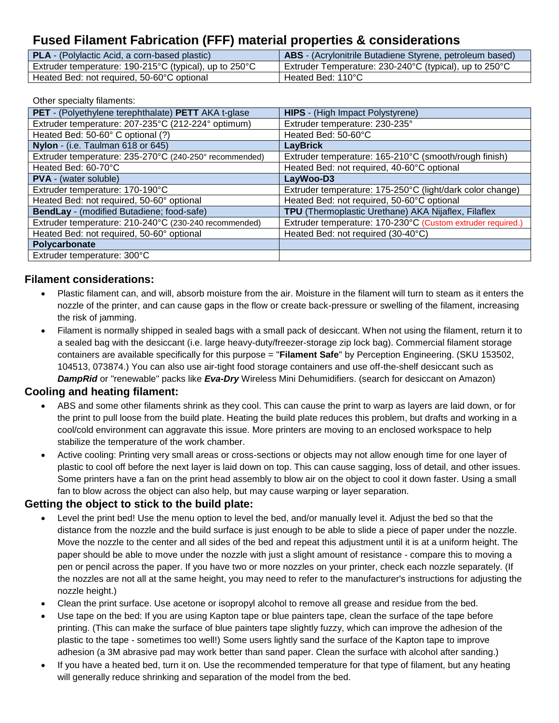# **Fused Filament Fabrication (FFF) material properties & considerations**

| <b>PLA</b> - (Polylactic Acid, a corn-based plastic)                       | <b>ABS</b> - (Acrylonitrile Butadiene Styrene, petroleum based) |
|----------------------------------------------------------------------------|-----------------------------------------------------------------|
| Extruder temperature: $190-215^{\circ}$ C (typical), up to $250^{\circ}$ C | Extruder Temperature: 230-240°C (typical), up to 250°C          |
| Heated Bed: not required, 50-60°C optional                                 | Heated Bed: 110°C                                               |

#### Other specialty filaments:

| PET - (Polyethylene terephthalate) PETT AKA t-glase    | <b>HIPS</b> - (High Impact Polystyrene)                     |
|--------------------------------------------------------|-------------------------------------------------------------|
| Extruder temperature: 207-235°C (212-224° optimum)     | Extruder temperature: 230-235°                              |
| Heated Bed: 50-60° C optional (?)                      | Heated Bed: 50-60°C                                         |
| Nylon - (i.e. Taulman 618 or 645)                      | <b>LayBrick</b>                                             |
| Extruder temperature: 235-270°C (240-250° recommended) | Extruder temperature: 165-210°C (smooth/rough finish)       |
| Heated Bed: 60-70°C                                    | Heated Bed: not required, 40-60°C optional                  |
| <b>PVA</b> - (water soluble)                           | LayWoo-D3                                                   |
| Extruder temperature: 170-190°C                        | Extruder temperature: 175-250°C (light/dark color change)   |
| Heated Bed: not required, 50-60° optional              | Heated Bed: not required, 50-60°C optional                  |
| BendLay - (modified Butadiene; food-safe)              | TPU (Thermoplastic Urethane) AKA Nijaflex, Filaflex         |
| Extruder temperature: 210-240°C (230-240 recommended)  | Extruder temperature: 170-230°C (Custom extruder required.) |
| Heated Bed: not required, 50-60° optional              | Heated Bed: not required (30-40°C)                          |
| Polycarbonate                                          |                                                             |
| Extruder temperature: 300°C                            |                                                             |

#### **Filament considerations:**

- Plastic filament can, and will, absorb moisture from the air. Moisture in the filament will turn to steam as it enters the nozzle of the printer, and can cause gaps in the flow or create back-pressure or swelling of the filament, increasing the risk of jamming.
- Filament is normally shipped in sealed bags with a small pack of desiccant. When not using the filament, return it to a sealed bag with the desiccant (i.e. large heavy-duty/freezer-storage zip lock bag). Commercial filament storage containers are available specifically for this purpose = "**Filament Safe**" by Perception Engineering. (SKU 153502, 104513, 073874.) You can also use air-tight food storage containers and use off-the-shelf desiccant such as *DampRid* or "renewable" packs like *Eva-Dry* Wireless Mini Dehumidifiers. (search for desiccant on Amazon)

### **Cooling and heating filament:**

- ABS and some other filaments shrink as they cool. This can cause the print to warp as layers are laid down, or for the print to pull loose from the build plate. Heating the build plate reduces this problem, but drafts and working in a cool/cold environment can aggravate this issue. More printers are moving to an enclosed workspace to help stabilize the temperature of the work chamber.
- Active cooling: Printing very small areas or cross-sections or objects may not allow enough time for one layer of plastic to cool off before the next layer is laid down on top. This can cause sagging, loss of detail, and other issues. Some printers have a fan on the print head assembly to blow air on the object to cool it down faster. Using a small fan to blow across the object can also help, but may cause warping or layer separation.

### **Getting the object to stick to the build plate:**

- Level the print bed! Use the menu option to level the bed, and/or manually level it. Adjust the bed so that the distance from the nozzle and the build surface is just enough to be able to slide a piece of paper under the nozzle. Move the nozzle to the center and all sides of the bed and repeat this adjustment until it is at a uniform height. The paper should be able to move under the nozzle with just a slight amount of resistance - compare this to moving a pen or pencil across the paper. If you have two or more nozzles on your printer, check each nozzle separately. (If the nozzles are not all at the same height, you may need to refer to the manufacturer's instructions for adjusting the nozzle height.)
- Clean the print surface. Use acetone or isopropyl alcohol to remove all grease and residue from the bed.
- Use tape on the bed: If you are using Kapton tape or blue painters tape, clean the surface of the tape before printing. (This can make the surface of blue painters tape slightly fuzzy, which can improve the adhesion of the plastic to the tape - sometimes too well!) Some users lightly sand the surface of the Kapton tape to improve adhesion (a 3M abrasive pad may work better than sand paper. Clean the surface with alcohol after sanding.)
- If you have a heated bed, turn it on. Use the recommended temperature for that type of filament, but any heating will generally reduce shrinking and separation of the model from the bed.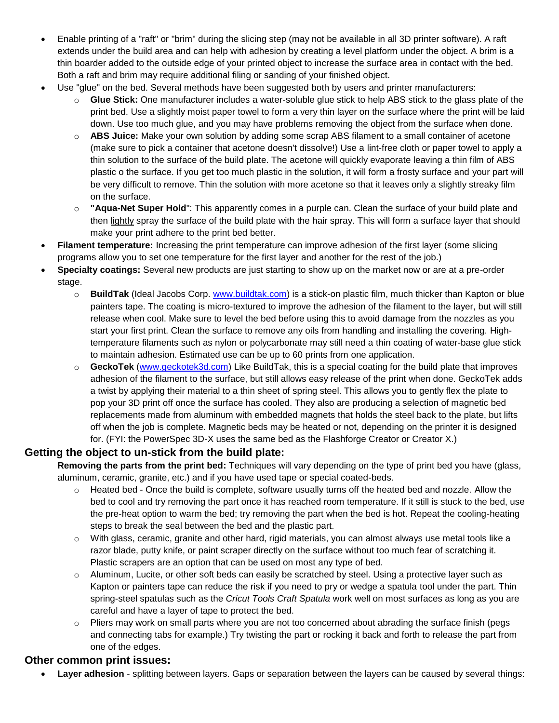- Enable printing of a "raft" or "brim" during the slicing step (may not be available in all 3D printer software). A raft extends under the build area and can help with adhesion by creating a level platform under the object. A brim is a thin boarder added to the outside edge of your printed object to increase the surface area in contact with the bed. Both a raft and brim may require additional filing or sanding of your finished object.
- Use "glue" on the bed. Several methods have been suggested both by users and printer manufacturers:
	- o **Glue Stick:** One manufacturer includes a water-soluble glue stick to help ABS stick to the glass plate of the print bed. Use a slightly moist paper towel to form a very thin layer on the surface where the print will be laid down. Use too much glue, and you may have problems removing the object from the surface when done.
	- o **ABS Juice:** Make your own solution by adding some scrap ABS filament to a small container of acetone (make sure to pick a container that acetone doesn't dissolve!) Use a lint-free cloth or paper towel to apply a thin solution to the surface of the build plate. The acetone will quickly evaporate leaving a thin film of ABS plastic o the surface. If you get too much plastic in the solution, it will form a frosty surface and your part will be very difficult to remove. Thin the solution with more acetone so that it leaves only a slightly streaky film on the surface.
	- o **"Aqua-Net Super Hold**": This apparently comes in a purple can. Clean the surface of your build plate and then lightly spray the surface of the build plate with the hair spray. This will form a surface layer that should make your print adhere to the print bed better.
- **Filament temperature:** Increasing the print temperature can improve adhesion of the first layer (some slicing programs allow you to set one temperature for the first layer and another for the rest of the job.)
- **Specialty coatings:** Several new products are just starting to show up on the market now or are at a pre-order stage.
	- o **BuildTak** (Ideal Jacobs Corp. [www.buildtak.com\)](http://www.buildtak.com/) is a stick-on plastic film, much thicker than Kapton or blue painters tape. The coating is micro-textured to improve the adhesion of the filament to the layer, but will still release when cool. Make sure to level the bed before using this to avoid damage from the nozzles as you start your first print. Clean the surface to remove any oils from handling and installing the covering. Hightemperature filaments such as nylon or polycarbonate may still need a thin coating of water-base glue stick to maintain adhesion. Estimated use can be up to 60 prints from one application.
	- o **GeckoTek** [\(www.geckotek3d.com\)](http://www.geckotek3d.com/) Like BuildTak, this is a special coating for the build plate that improves adhesion of the filament to the surface, but still allows easy release of the print when done. GeckoTek adds a twist by applying their material to a thin sheet of spring steel. This allows you to gently flex the plate to pop your 3D print off once the surface has cooled. They also are producing a selection of magnetic bed replacements made from aluminum with embedded magnets that holds the steel back to the plate, but lifts off when the job is complete. Magnetic beds may be heated or not, depending on the printer it is designed for. (FYI: the PowerSpec 3D-X uses the same bed as the Flashforge Creator or Creator X.)

### **Getting the object to un-stick from the build plate:**

**Removing the parts from the print bed:** Techniques will vary depending on the type of print bed you have (glass, aluminum, ceramic, granite, etc.) and if you have used tape or special coated-beds.

- $\circ$  Heated bed Once the build is complete, software usually turns off the heated bed and nozzle. Allow the bed to cool and try removing the part once it has reached room temperature. If it still is stuck to the bed, use the pre-heat option to warm the bed; try removing the part when the bed is hot. Repeat the cooling-heating steps to break the seal between the bed and the plastic part.
- o With glass, ceramic, granite and other hard, rigid materials, you can almost always use metal tools like a razor blade, putty knife, or paint scraper directly on the surface without too much fear of scratching it. Plastic scrapers are an option that can be used on most any type of bed.
- $\circ$  Aluminum, Lucite, or other soft beds can easily be scratched by steel. Using a protective layer such as Kapton or painters tape can reduce the risk if you need to pry or wedge a spatula tool under the part. Thin spring-steel spatulas such as the *Cricut Tools Craft Spatula* work well on most surfaces as long as you are careful and have a layer of tape to protect the bed.
- o Pliers may work on small parts where you are not too concerned about abrading the surface finish (pegs and connecting tabs for example.) Try twisting the part or rocking it back and forth to release the part from one of the edges.

### **Other common print issues:**

**Layer adhesion** - splitting between layers. Gaps or separation between the layers can be caused by several things: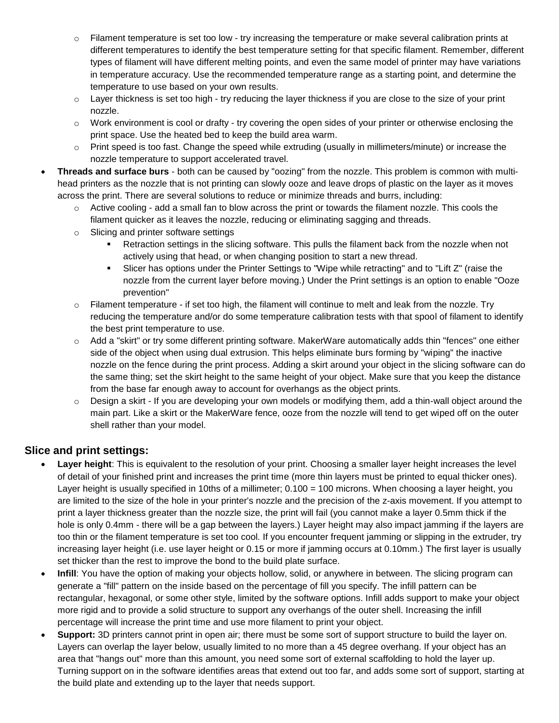- $\circ$  Filament temperature is set too low try increasing the temperature or make several calibration prints at different temperatures to identify the best temperature setting for that specific filament. Remember, different types of filament will have different melting points, and even the same model of printer may have variations in temperature accuracy. Use the recommended temperature range as a starting point, and determine the temperature to use based on your own results.
- $\circ$  Layer thickness is set too high try reducing the layer thickness if you are close to the size of your print nozzle.
- $\circ$  Work environment is cool or drafty try covering the open sides of your printer or otherwise enclosing the print space. Use the heated bed to keep the build area warm.
- o Print speed is too fast. Change the speed while extruding (usually in millimeters/minute) or increase the nozzle temperature to support accelerated travel.
- **Threads and surface burs** both can be caused by "oozing" from the nozzle. This problem is common with multihead printers as the nozzle that is not printing can slowly ooze and leave drops of plastic on the layer as it moves across the print. There are several solutions to reduce or minimize threads and burrs, including:
	- $\circ$  Active cooling add a small fan to blow across the print or towards the filament nozzle. This cools the filament quicker as it leaves the nozzle, reducing or eliminating sagging and threads.
	- o Slicing and printer software settings
		- Retraction settings in the slicing software. This pulls the filament back from the nozzle when not actively using that head, or when changing position to start a new thread.
		- Slicer has options under the Printer Settings to "Wipe while retracting" and to "Lift Z" (raise the nozzle from the current layer before moving.) Under the Print settings is an option to enable "Ooze prevention"
	- $\circ$  Filament temperature if set too high, the filament will continue to melt and leak from the nozzle. Try reducing the temperature and/or do some temperature calibration tests with that spool of filament to identify the best print temperature to use.
	- o Add a "skirt" or try some different printing software. MakerWare automatically adds thin "fences" one either side of the object when using dual extrusion. This helps eliminate burs forming by "wiping" the inactive nozzle on the fence during the print process. Adding a skirt around your object in the slicing software can do the same thing; set the skirt height to the same height of your object. Make sure that you keep the distance from the base far enough away to account for overhangs as the object prints.
	- o Design a skirt If you are developing your own models or modifying them, add a thin-wall object around the main part. Like a skirt or the MakerWare fence, ooze from the nozzle will tend to get wiped off on the outer shell rather than your model.

### **Slice and print settings:**

- Layer height: This is equivalent to the resolution of your print. Choosing a smaller layer height increases the level of detail of your finished print and increases the print time (more thin layers must be printed to equal thicker ones). Layer height is usually specified in 10ths of a millimeter; 0.100 = 100 microns. When choosing a layer height, you are limited to the size of the hole in your printer's nozzle and the precision of the z-axis movement. If you attempt to print a layer thickness greater than the nozzle size, the print will fail (you cannot make a layer 0.5mm thick if the hole is only 0.4mm - there will be a gap between the layers.) Layer height may also impact jamming if the layers are too thin or the filament temperature is set too cool. If you encounter frequent jamming or slipping in the extruder, try increasing layer height (i.e. use layer height or 0.15 or more if jamming occurs at 0.10mm.) The first layer is usually set thicker than the rest to improve the bond to the build plate surface.
- **Infill**: You have the option of making your objects hollow, solid, or anywhere in between. The slicing program can generate a "fill" pattern on the inside based on the percentage of fill you specify. The infill pattern can be rectangular, hexagonal, or some other style, limited by the software options. Infill adds support to make your object more rigid and to provide a solid structure to support any overhangs of the outer shell. Increasing the infill percentage will increase the print time and use more filament to print your object.
- **Support:** 3D printers cannot print in open air; there must be some sort of support structure to build the layer on. Layers can overlap the layer below, usually limited to no more than a 45 degree overhang. If your object has an area that "hangs out" more than this amount, you need some sort of external scaffolding to hold the layer up. Turning support on in the software identifies areas that extend out too far, and adds some sort of support, starting at the build plate and extending up to the layer that needs support.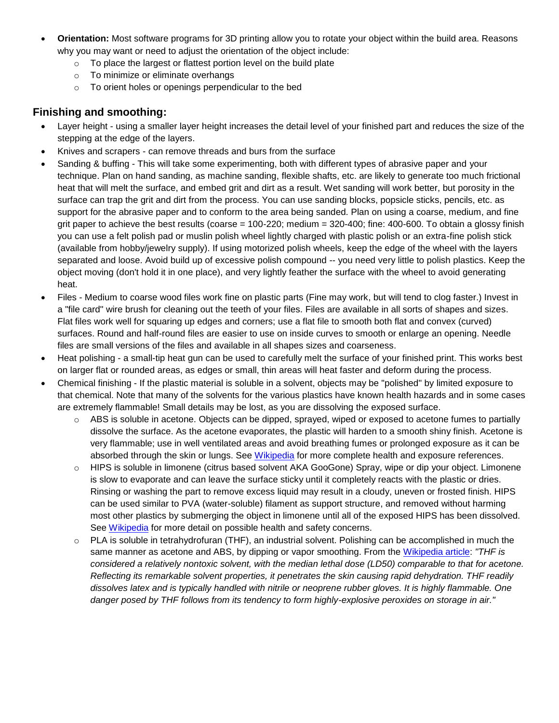- **Orientation:** Most software programs for 3D printing allow you to rotate your object within the build area. Reasons why you may want or need to adjust the orientation of the object include:
	- $\circ$  To place the largest or flattest portion level on the build plate
	- o To minimize or eliminate overhangs
	- o To orient holes or openings perpendicular to the bed

### **Finishing and smoothing:**

- Layer height using a smaller layer height increases the detail level of your finished part and reduces the size of the stepping at the edge of the layers.
- Knives and scrapers can remove threads and burs from the surface
- Sanding & buffing This will take some experimenting, both with different types of abrasive paper and your technique. Plan on hand sanding, as machine sanding, flexible shafts, etc. are likely to generate too much frictional heat that will melt the surface, and embed grit and dirt as a result. Wet sanding will work better, but porosity in the surface can trap the grit and dirt from the process. You can use sanding blocks, popsicle sticks, pencils, etc. as support for the abrasive paper and to conform to the area being sanded. Plan on using a coarse, medium, and fine grit paper to achieve the best results (coarse = 100-220; medium = 320-400; fine: 400-600. To obtain a glossy finish you can use a felt polish pad or muslin polish wheel lightly charged with plastic polish or an extra-fine polish stick (available from hobby/jewelry supply). If using motorized polish wheels, keep the edge of the wheel with the layers separated and loose. Avoid build up of excessive polish compound -- you need very little to polish plastics. Keep the object moving (don't hold it in one place), and very lightly feather the surface with the wheel to avoid generating heat.
- Files Medium to coarse wood files work fine on plastic parts (Fine may work, but will tend to clog faster.) Invest in a "file card" wire brush for cleaning out the teeth of your files. Files are available in all sorts of shapes and sizes. Flat files work well for squaring up edges and corners; use a flat file to smooth both flat and convex (curved) surfaces. Round and half-round files are easier to use on inside curves to smooth or enlarge an opening. Needle files are small versions of the files and available in all shapes sizes and coarseness.
- Heat polishing a small-tip heat gun can be used to carefully melt the surface of your finished print. This works best on larger flat or rounded areas, as edges or small, thin areas will heat faster and deform during the process.
- Chemical finishing If the plastic material is soluble in a solvent, objects may be "polished" by limited exposure to that chemical. Note that many of the solvents for the various plastics have known health hazards and in some cases are extremely flammable! Small details may be lost, as you are dissolving the exposed surface.
	- $\circ$  ABS is soluble in acetone. Objects can be dipped, sprayed, wiped or exposed to acetone fumes to partially dissolve the surface. As the acetone evaporates, the plastic will harden to a smooth shiny finish. Acetone is very flammable; use in well ventilated areas and avoid breathing fumes or prolonged exposure as it can be absorbed through the skin or lungs. See [Wikipedia](http://en.wikipedia.org/wiki/Acetone) for more complete health and exposure references.
	- o HIPS is soluble in limonene (citrus based solvent AKA GooGone) Spray, wipe or dip your object. Limonene is slow to evaporate and can leave the surface sticky until it completely reacts with the plastic or dries. Rinsing or washing the part to remove excess liquid may result in a cloudy, uneven or frosted finish. HIPS can be used similar to PVA (water-soluble) filament as support structure, and removed without harming most other plastics by submerging the object in limonene until all of the exposed HIPS has been dissolved. See [Wikipedia](http://en.wikipedia.org/wiki/Limonene) for more detail on possible health and safety concerns.
	- o PLA is soluble in tetrahydrofuran (THF), an industrial solvent. Polishing can be accomplished in much the same manner as acetone and ABS, by dipping or vapor smoothing. From the [Wikipedia article:](http://en.wikipedia.org/wiki/Tetrahydrofuran) *"THF is considered a relatively nontoxic solvent, with the median lethal dose (LD50) comparable to that for acetone. Reflecting its remarkable solvent properties, it penetrates the skin causing rapid dehydration. THF readily dissolves latex and is typically handled with nitrile or neoprene rubber gloves. It is highly flammable. One danger posed by THF follows from its tendency to form highly-explosive peroxides on storage in air."*